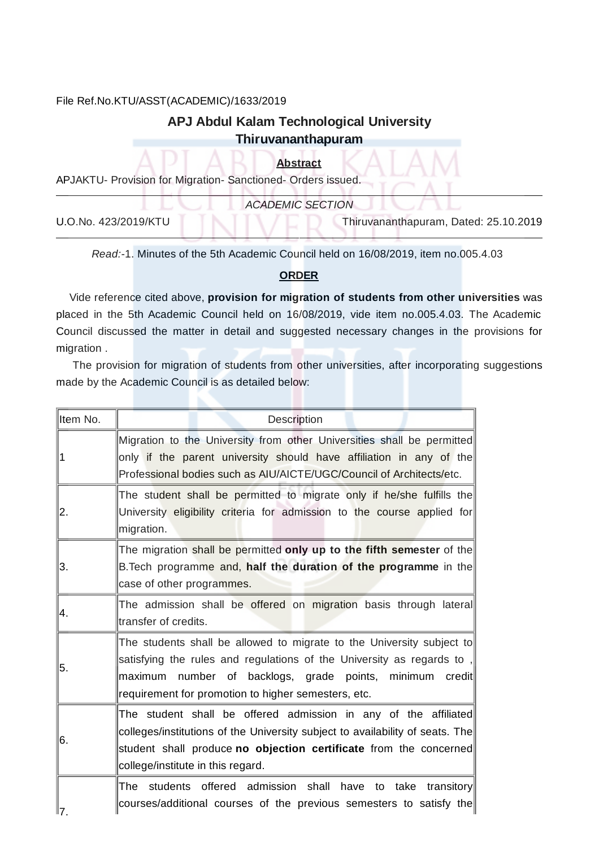## File Ref.No.KTU/ASST(ACADEMIC)/1633/2019

## APJ Abdul Kalam Technological University Thiruvananthapuram

**Abstract** 

APJAKTU- Provision for Migration- Sanctioned- Orders issued.

|                      | <b>ACADEMIC SECTION</b>               |
|----------------------|---------------------------------------|
| U.O.No. 423/2019/KTU | Thiruvananthapuram, Dated: 25.10.2019 |

Read:-1. Minutes of the 5th Academic Council held on 16/08/2019, item no.005.4.03

## **ORDER**

Vide reference cited above, provision for migration of students from other universities was placed in the 5th Academic Council held on 16/08/2019, vide item no.005.4.03. The Academic Council discussed the matter in detail and suggested necessary changes in the provisions for migration.

The provision for migration of students from other universities, after incorporating suggestions made by the Academic Council is as detailed below:

| lltem No.        | Description                                                                                                                                                                                                                                                           |
|------------------|-----------------------------------------------------------------------------------------------------------------------------------------------------------------------------------------------------------------------------------------------------------------------|
| 1                | Migration to the University from other Universities shall be permitted<br>only if the parent university should have affiliation in any of the<br>Professional bodies such as AIU/AICTE/UGC/Council of Architects/etc.                                                 |
| $\overline{2}$ . | The student shall be permitted to migrate only if he/she fulfills the<br>University eligibility criteria for admission to the course applied for<br>migration.                                                                                                        |
| 3.               | The migration shall be permitted only up to the fifth semester of the<br>B. Tech programme and, half the duration of the programme in the<br>case of other programmes.                                                                                                |
| 14.              | The admission shall be offered on migration basis through lateral<br>transfer of credits.                                                                                                                                                                             |
| 5.               | The students shall be allowed to migrate to the University subject to<br>satisfying the rules and regulations of the University as regards to,<br>number of backlogs, grade points, minimum credit<br>lmaximum<br>requirement for promotion to higher semesters, etc. |
| 6.               | The student shall be offered admission in any of the affiliated<br>colleges/institutions of the University subject to availability of seats. The<br>student shall produce no objection certificate from the concerned<br>college/institute in this regard.            |
| ‼7.              | students offered admission shall have to take transitory<br>The<br>courses/additional courses of the previous semesters to satisfy the                                                                                                                                |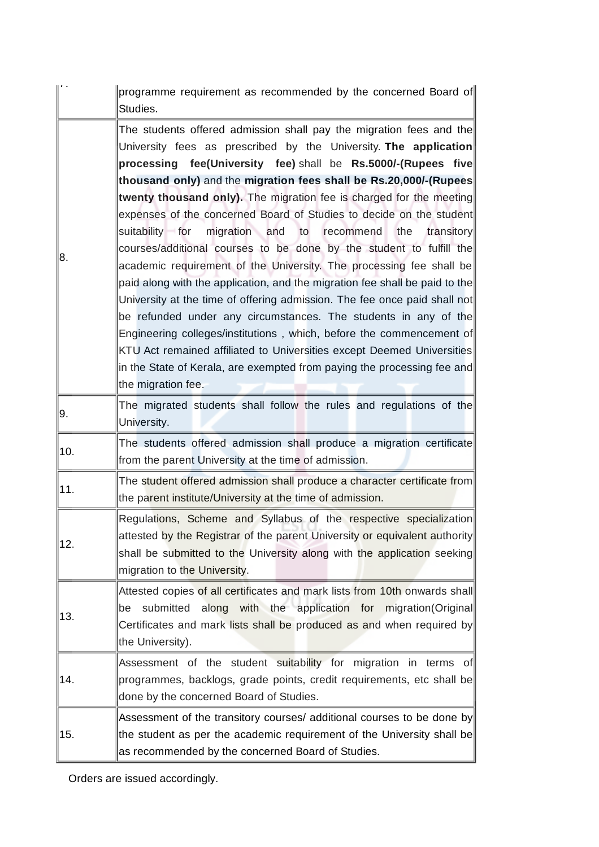|     | programme requirement as recommended by the concerned Board of<br>Studies.                                                                                                                                                                                                                                                                                                                                                                                                                                                                                                                                                                                                                                                                                                                                                                                                                                                                                                                                                                                                                                                        |
|-----|-----------------------------------------------------------------------------------------------------------------------------------------------------------------------------------------------------------------------------------------------------------------------------------------------------------------------------------------------------------------------------------------------------------------------------------------------------------------------------------------------------------------------------------------------------------------------------------------------------------------------------------------------------------------------------------------------------------------------------------------------------------------------------------------------------------------------------------------------------------------------------------------------------------------------------------------------------------------------------------------------------------------------------------------------------------------------------------------------------------------------------------|
| 8.  | The students offered admission shall pay the migration fees and the<br>University fees as prescribed by the University. The application<br>processing fee(University fee) shall be Rs.5000/-(Rupees five<br>thousand only) and the migration fees shall be Rs.20,000/-(Rupees<br>twenty thousand only). The migration fee is charged for the meeting<br>expenses of the concerned Board of Studies to decide on the student<br>migration and to recommend<br>the<br>suitability for<br>transitory<br>courses/additional courses to be done by the student to fulfill the<br>academic requirement of the University. The processing fee shall be<br>paid along with the application, and the migration fee shall be paid to the<br>University at the time of offering admission. The fee once paid shall not<br>be refunded under any circumstances. The students in any of the<br>Engineering colleges/institutions, which, before the commencement of<br>KTU Act remained affiliated to Universities except Deemed Universities<br>in the State of Kerala, are exempted from paying the processing fee and<br>the migration fee. |
| 9.  | The migrated students shall follow the rules and regulations of the<br>University.                                                                                                                                                                                                                                                                                                                                                                                                                                                                                                                                                                                                                                                                                                                                                                                                                                                                                                                                                                                                                                                |
| 10. | The students offered admission shall produce a migration certificate<br>from the parent University at the time of admission.                                                                                                                                                                                                                                                                                                                                                                                                                                                                                                                                                                                                                                                                                                                                                                                                                                                                                                                                                                                                      |
| 11. | The student offered admission shall produce a character certificate from<br>the parent institute/University at the time of admission.                                                                                                                                                                                                                                                                                                                                                                                                                                                                                                                                                                                                                                                                                                                                                                                                                                                                                                                                                                                             |
| 12. | Regulations, Scheme and Syllabus of the respective specialization<br>attested by the Registrar of the parent University or equivalent authority<br>shall be submitted to the University along with the application seeking<br>migration to the University.                                                                                                                                                                                                                                                                                                                                                                                                                                                                                                                                                                                                                                                                                                                                                                                                                                                                        |
| 13. | Attested copies of all certificates and mark lists from 10th onwards shall<br>along with the application for migration(Original)<br>submitted<br>be<br>Certificates and mark lists shall be produced as and when required by<br>the University).                                                                                                                                                                                                                                                                                                                                                                                                                                                                                                                                                                                                                                                                                                                                                                                                                                                                                  |
| 14. | Assessment of the student suitability for migration in terms of<br>programmes, backlogs, grade points, credit requirements, etc shall be<br>done by the concerned Board of Studies.                                                                                                                                                                                                                                                                                                                                                                                                                                                                                                                                                                                                                                                                                                                                                                                                                                                                                                                                               |
| 15. | Assessment of the transitory courses/ additional courses to be done by<br>the student as per the academic requirement of the University shall be<br>as recommended by the concerned Board of Studies.                                                                                                                                                                                                                                                                                                                                                                                                                                                                                                                                                                                                                                                                                                                                                                                                                                                                                                                             |

Orders are issued accordingly.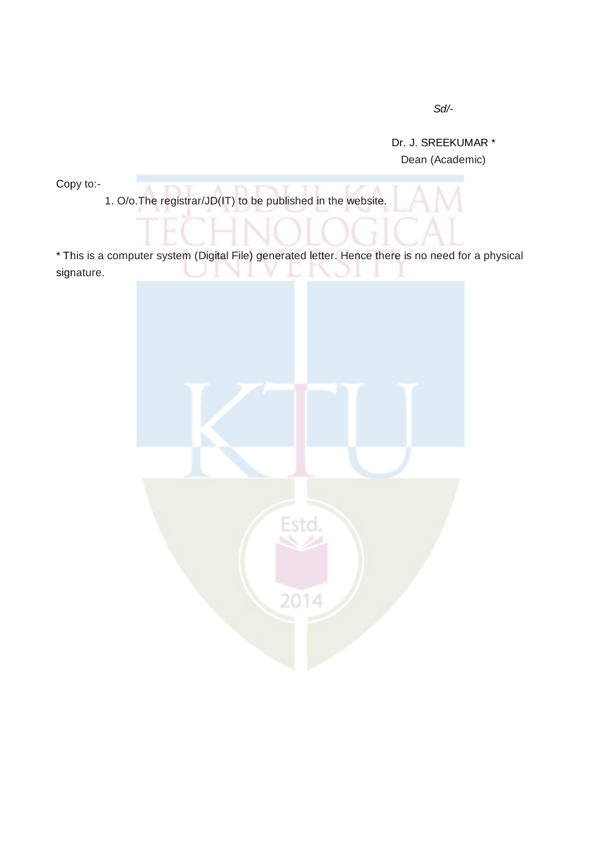$Sd$ /-

Dr. J. SREEKUMAR \* Dean (Academic)

Copy to:-

1. O/o.The registrar/JD(IT) to be published in the website.

\* This is a computer system (Digital File) generated letter. Hence there is no need for a physical signature.

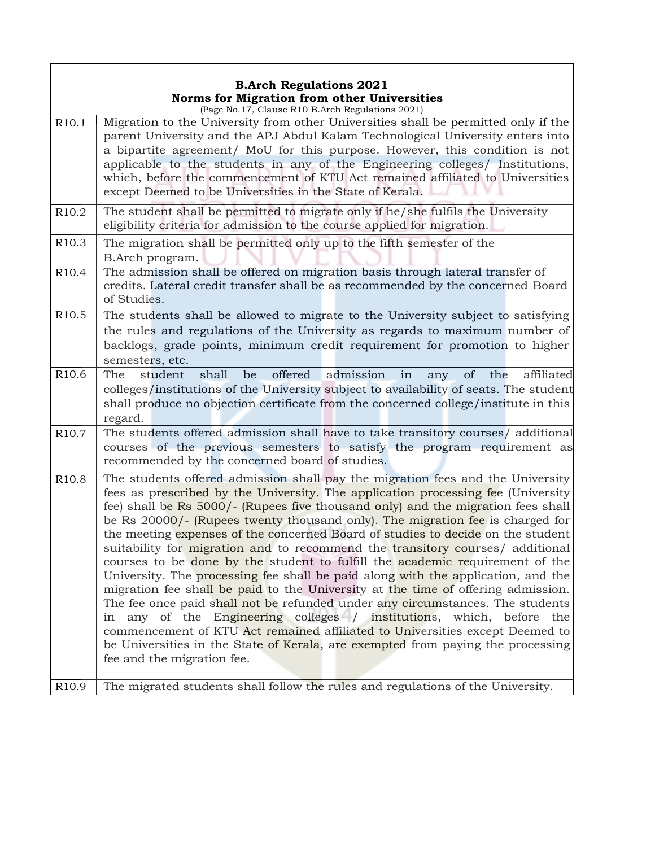## **B.Arch Regulations 2021 Norms for Migration from other Universities**

|                   | (Page No.17, Clause R10 B.Arch Regulations 2021)                                                                                                                                                                                                                                                                                                                                                                                                                                                                                                                                                                                                                                                                                                                                                                                                                                                                                                                                                                                                                                                                                 |  |  |
|-------------------|----------------------------------------------------------------------------------------------------------------------------------------------------------------------------------------------------------------------------------------------------------------------------------------------------------------------------------------------------------------------------------------------------------------------------------------------------------------------------------------------------------------------------------------------------------------------------------------------------------------------------------------------------------------------------------------------------------------------------------------------------------------------------------------------------------------------------------------------------------------------------------------------------------------------------------------------------------------------------------------------------------------------------------------------------------------------------------------------------------------------------------|--|--|
| R <sub>10.1</sub> | Migration to the University from other Universities shall be permitted only if the<br>parent University and the APJ Abdul Kalam Technological University enters into<br>a bipartite agreement/ MoU for this purpose. However, this condition is not<br>applicable to the students in any of the Engineering colleges/ Institutions,<br>which, before the commencement of KTU Act remained affiliated to Universities<br>except Deemed to be Universities in the State of Kerala.                                                                                                                                                                                                                                                                                                                                                                                                                                                                                                                                                                                                                                                 |  |  |
| R <sub>10.2</sub> | The student shall be permitted to migrate only if he/she fulfils the University<br>eligibility criteria for admission to the course applied for migration.                                                                                                                                                                                                                                                                                                                                                                                                                                                                                                                                                                                                                                                                                                                                                                                                                                                                                                                                                                       |  |  |
| R <sub>10.3</sub> | The migration shall be permitted only up to the fifth semester of the<br>B.Arch program.                                                                                                                                                                                                                                                                                                                                                                                                                                                                                                                                                                                                                                                                                                                                                                                                                                                                                                                                                                                                                                         |  |  |
| R <sub>10.4</sub> | The admission shall be offered on migration basis through lateral transfer of<br>credits. Lateral credit transfer shall be as recommended by the concerned Board<br>of Studies.                                                                                                                                                                                                                                                                                                                                                                                                                                                                                                                                                                                                                                                                                                                                                                                                                                                                                                                                                  |  |  |
| R <sub>10.5</sub> | The students shall be allowed to migrate to the University subject to satisfying<br>the rules and regulations of the University as regards to maximum number of<br>backlogs, grade points, minimum credit requirement for promotion to higher<br>semesters, etc.                                                                                                                                                                                                                                                                                                                                                                                                                                                                                                                                                                                                                                                                                                                                                                                                                                                                 |  |  |
| R <sub>10.6</sub> | shall<br>offered<br>admission<br>The<br>be<br>in<br>of<br>affiliated<br>student<br>the<br>any<br>colleges/institutions of the University subject to availability of seats. The student<br>shall produce no objection certificate from the concerned college/institute in this<br>regard.                                                                                                                                                                                                                                                                                                                                                                                                                                                                                                                                                                                                                                                                                                                                                                                                                                         |  |  |
| R <sub>10.7</sub> | The students offered admission shall have to take transitory courses/ additional<br>courses of the previous semesters to satisfy the program requirement as<br>recommended by the concerned board of studies.                                                                                                                                                                                                                                                                                                                                                                                                                                                                                                                                                                                                                                                                                                                                                                                                                                                                                                                    |  |  |
| R <sub>10.8</sub> | The students offered admission shall pay the migration fees and the University<br>fees as prescribed by the University. The application processing fee (University<br>fee) shall be Rs 5000/- (Rupees five thousand only) and the migration fees shall<br>be Rs 20000/- (Rupees twenty thousand only). The migration fee is charged for<br>the meeting expenses of the concerned Board of studies to decide on the student<br>suitability for migration and to recommend the transitory courses/ additional<br>courses to be done by the student to fulfill the academic requirement of the<br>University. The processing fee shall be paid along with the application, and the<br>migration fee shall be paid to the University at the time of offering admission.<br>The fee once paid shall not be refunded under any circumstances. The students<br>any of the Engineering colleges / institutions, which, before the<br>in<br>commencement of KTU Act remained affiliated to Universities except Deemed to<br>be Universities in the State of Kerala, are exempted from paying the processing<br>fee and the migration fee. |  |  |
| R <sub>10.9</sub> | The migrated students shall follow the rules and regulations of the University.                                                                                                                                                                                                                                                                                                                                                                                                                                                                                                                                                                                                                                                                                                                                                                                                                                                                                                                                                                                                                                                  |  |  |